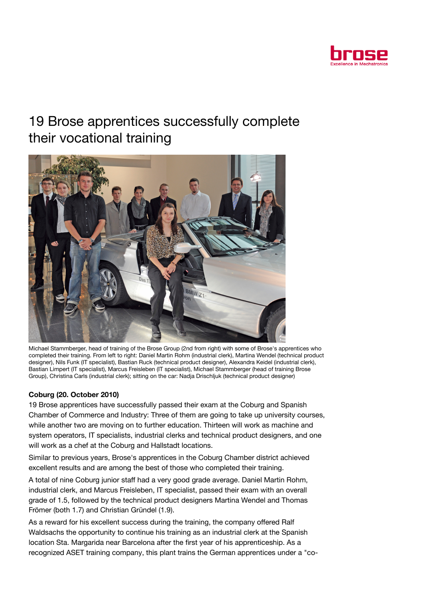

## 19 Brose apprentices successfully complete their vocational training



Michael Stammberger, head of training of the Brose Group (2nd from right) with some of Brose's apprentices who completed their training. From left to right: Daniel Martin Rohm (industrial clerk), Martina Wendel (technical product designer), Nils Funk (IT specialist), Bastian Ruck (technical product designer), Alexandra Keidel (industrial clerk), Bastian Limpert (IT specialist), Marcus Freisleben (IT specialist), Michael Stammberger (head of training Brose Group), Christina Carls (industrial clerk); sitting on the car: Nadja Drischljuk (technical product designer)

## Coburg (20. October 2010)

19 Brose apprentices have successfully passed their exam at the Coburg and Spanish Chamber of Commerce and Industry: Three of them are going to take up university courses, while another two are moving on to further education. Thirteen will work as machine and system operators, IT specialists, industrial clerks and technical product designers, and one will work as a chef at the Coburg and Hallstadt locations.

Similar to previous years, Brose's apprentices in the Coburg Chamber district achieved excellent results and are among the best of those who completed their training.

A total of nine Coburg junior staff had a very good grade average. Daniel Martin Rohm, industrial clerk, and Marcus Freisleben, IT specialist, passed their exam with an overall grade of 1.5, followed by the technical product designers Martina Wendel and Thomas Frömer (both 1.7) and Christian Gründel (1.9).

As a reward for his excellent success during the training, the company offered Ralf Waldsachs the opportunity to continue his training as an industrial clerk at the Spanish location Sta. Margarida near Barcelona after the first year of his apprenticeship. As a recognized ASET training company, this plant trains the German apprentices under a "co-